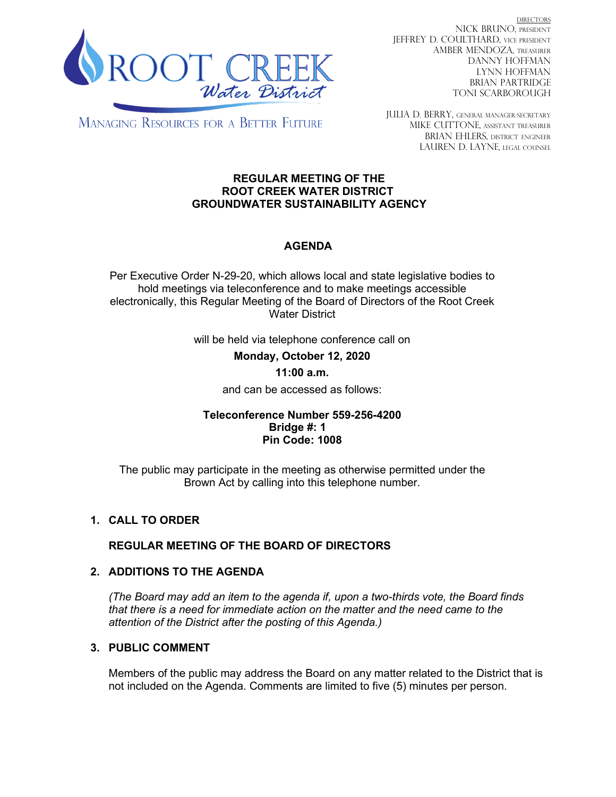

DIRECTORS NICK BRUNO, PRESIDENT JEFFREY D. COULTHARD, Vice President AMBER MENDOZA, TREASURER DANNY HOFFMAN LYNN HOFFMAN BRIAN PARTRIDGE TONI SCARBOROUGH

**MANAGING RESOURCES FOR A BETTER FUTURE** 

JULIA D. BERRY, GENERAL MANAGER/secretary MIKE CUTTONE, Assistant treasurer BRIAN EHLERS, DISTRICT ENGINEER LAUREN D. LAYNE, LEGAL COUNSEL

### **REGULAR MEETING OF THE ROOT CREEK WATER DISTRICT GROUNDWATER SUSTAINABILITY AGENCY**

# **AGENDA**

Per Executive Order N-29-20, which allows local and state legislative bodies to hold meetings via teleconference and to make meetings accessible electronically, this Regular Meeting of the Board of Directors of the Root Creek Water District

will be held via telephone conference call on

**Monday, October 12, 2020** 

### **11:00 a.m.**

and can be accessed as follows:

### **Teleconference Number 559-256-4200 Bridge #: 1 Pin Code: 1008**

The public may participate in the meeting as otherwise permitted under the Brown Act by calling into this telephone number.

## **1. CALL TO ORDER**

**REGULAR MEETING OF THE BOARD OF DIRECTORS**

## **2. ADDITIONS TO THE AGENDA**

*(The Board may add an item to the agenda if, upon a two-thirds vote, the Board finds that there is a need for immediate action on the matter and the need came to the attention of the District after the posting of this Agenda.)*

## **3. PUBLIC COMMENT**

Members of the public may address the Board on any matter related to the District that is not included on the Agenda. Comments are limited to five (5) minutes per person.